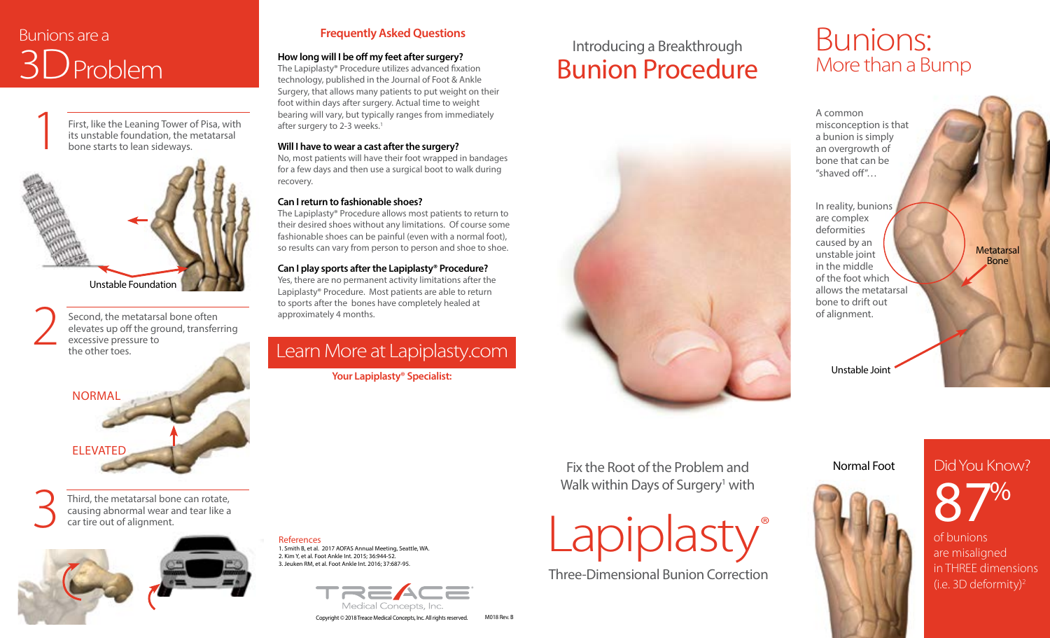# Bunions are a **3D**<br>Problem **How long will I be off my feet after surgery?**<br>
The Lapiplasty® Procedure utilizes advanced fixa

First, like the Leaning Tower of Pisa, with First, like the Leaning Tower of Pisa, with<br>its unstable foundation, the metatarsal<br>bone starts to lean sideways.



Second, the metatarsal bone often<br>elevates up off the ground, transfer<br>excessive pressure to<br>the other toes. elevates up off the ground, transferring excessive pressure to the other toes.



Third, the metatarsal bone can rotate, causing abnormal wear and tear like a car tire out of alignment.



### **Frequently Asked Questions**

The Lapiplasty® Procedure utilizes advanced fixation technology, published in the Journal of Foot & Ankle Surgery, that allows many patients to put weight on their foot within days after surgery. Actual time to weight bearing will vary, but typically ranges from immediately after surgery to 2-3 weeks.<sup>1</sup>

#### **Will I have to wear a cast after the surgery?**

No, most patients will have their foot wrapped in bandages for a few days and then use a surgical boot to walk during recovery.

#### **Can I return to fashionable shoes?**

The Lapiplasty® Procedure allows most patients to return to their desired shoes without any limitations. Of course some fashionable shoes can be painful (even with a normal foot), so results can vary from person to person and shoe to shoe.

#### **Can I play sports after the Lapiplasty® Procedure?**

Yes, there are no permanent activity limitations after the Lapiplasty® Procedure. Most patients are able to return to sports after the bones have completely healed at approximately 4 months.

## Learn More at Lapiplasty.com

**Your Lapiplasty® Specialist:**

## Introducing a Breakthrough Bunion Procedure

# Bunions: More than a Bump

A common misconception is that a bunion is simply an overgrowth of bone that can be "shaved off"…

In reality, bunions are complex deformities caused by an unstable joint in the middle of the foot which allows the metatarsal bone to drift out of alignment.

Unstable Joint

### Normal Foot



Did You Know? 87%

**Metatarsal** Bone

of bunions are misaligned in THREE dimensions (i.e. 3D deformity)2

References 1. Smith B, et al. 2017 AOFAS Annual Meeting, Seattle, WA. 2. Kim Y, et al. Foot Ankle Int. 2015; 36:944-52. 3. Jeuken RM, et al. Foot Ankle Int. 2016; 37:687-95.



Copyright © 2018 Treace Medical Concepts, Inc. All rights reserved. M018 Rev. B

Fix the Root of the Problem and Walk within Days of Surgery<sup>1</sup> with



Three-Dimensional Bunion Correction